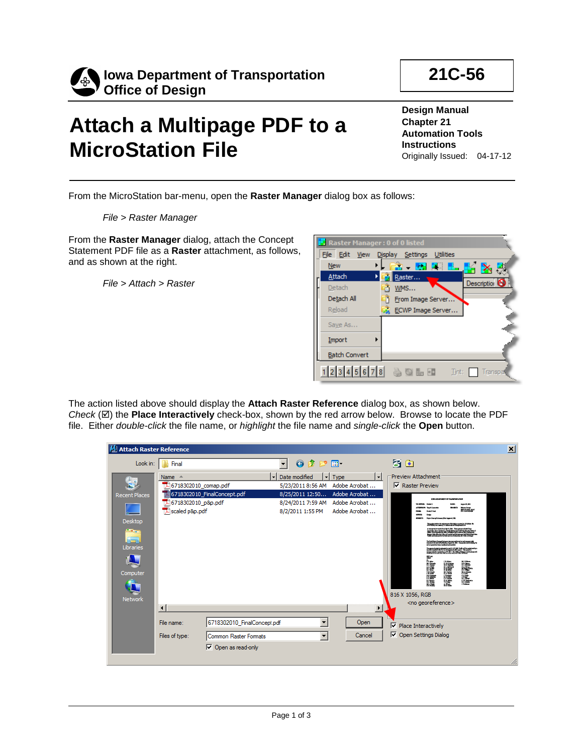

## **Attach a Multipage PDF to a MicroStation File**

**Design Manual Chapter 21 Automation Tools Instructions** Originally Issued: 04-17-12

**21C-56**

From the MicroStation bar-menu, open the **Raster Manager** dialog box as follows:

*File > Raster Manager*

From the **Raster Manager** dialog, attach the Concept Statement PDF file as a **Raster** attachment, as follows, and as shown at the right.

*File > Attach > Raster*

| <b>E</b> Raster Manager: 0 of 0 listed |                                           |
|----------------------------------------|-------------------------------------------|
| File Edit                              | View Display Settings<br><b>Utilities</b> |
| <b>New</b>                             | 含する 呪 配 風 。<br>KX.                        |
| Attach                                 | Raster                                    |
| Detach                                 | Description <sup>5</sup><br>WMS           |
| Detach All                             | From Image Server                         |
| Reload                                 | ECWP Image Server                         |
| Save As                                |                                           |
| Import                                 |                                           |
| <b>Batch Convert</b>                   |                                           |
|                                        | 12345678 <b>30LE</b><br>Tint:<br>Transpar |

The action listed above should display the **Attach Raster Reference** dialog box, as shown below. *Check*  $(\mathbb{Z})$  the **Place Interactively** check-box, shown by the red arrow below. Browse to locate the PDF file. Either *double-click* the file name, or *highlight* the file name and *single-click* the **Open** button.

| <b>Attach Raster Reference</b> |                                                                                                                                                                                    | ⊠ |
|--------------------------------|------------------------------------------------------------------------------------------------------------------------------------------------------------------------------------|---|
| Look in:                       | 0 0 0 0<br>3 图<br><b>Final</b>                                                                                                                                                     |   |
|                                | <b>Preview Attachment</b><br>ᆔ<br>Date modified<br>Type<br>Name $\triangle$<br>회<br>۰I                                                                                             |   |
| 蝠                              | $\nabla$ Raster Preview<br>Adobe Acrobat<br>6718302010_comap.pdf<br>5/23/2011 8:56 AM                                                                                              |   |
| <b>Recent Places</b>           | 6718302010_FinalConcept.pdf<br>Adobe Acrobat<br>8/25/2011 12:50<br><b>CALL AND ART WANT OF THE ANGELES AND</b>                                                                     |   |
|                                | 146718302010_p&p.pdf<br>Adobe Acrobat<br>8/24/2011 7:59 AM<br>scaled p&p.pdf<br>8/2/2011 1:55 PM<br>Adobe Acrobat                                                                  |   |
| Desktop                        |                                                                                                                                                                                    |   |
| Ă                              | who during all subs as for prop-                                                                                                                                                   |   |
| Libraries                      | an mai patria de la contrata del 1990 del 1990.<br>Especial de la forma del 1990 del 1990 de la forma del 1991.<br>Especial de la forma de la forma del 1991 de la forma del 1991. |   |
|                                |                                                                                                                                                                                    |   |
| Computer                       | " 医性脑膜炎<br>in 1991<br>睡眠性                                                                                                                                                          |   |
| . T                            |                                                                                                                                                                                    |   |
| <b>Network</b>                 | 816 X 1056, RGB                                                                                                                                                                    |   |
|                                | <no georeference=""><br/><math>\left  \right </math><br/><math display="inline">\blacktriangleright</math></no>                                                                    |   |
|                                | $\overline{\phantom{0}}$<br>6718302010_FinalConcept.pdf<br>Open<br>File name:<br>$\nabla$ Place Interactively                                                                      |   |
|                                | Open Settings Dialog<br>Cancel                                                                                                                                                     |   |
|                                | $\blacktriangledown$<br>Files of type:<br>Common Raster Formats                                                                                                                    |   |
|                                | $\boxed{\mathbf{v}}$ Open as read-only                                                                                                                                             |   |
|                                |                                                                                                                                                                                    |   |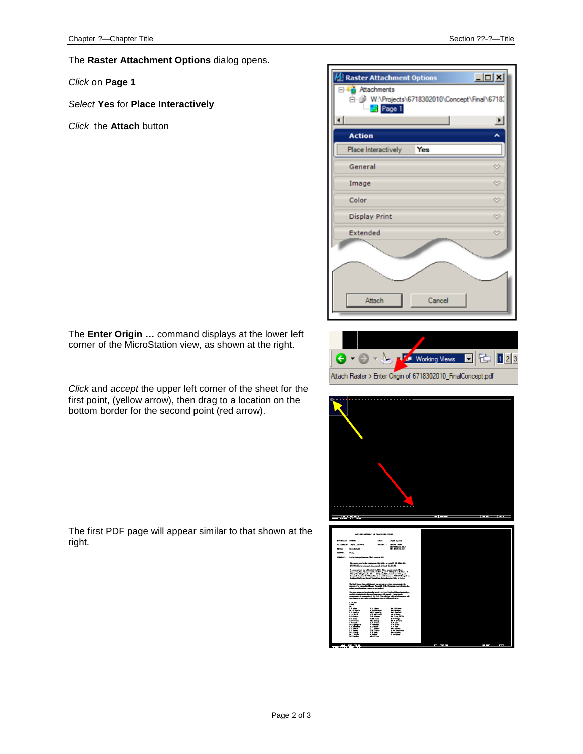The **Raster Attachment Options** dialog opens.

*Click* on **Page 1**

right.

*Select* **Yes** for **Place Interactively**

*Click* the **Attach** button



The **Enter Origin …** command displays at the lower left corner of the MicroStation view, as shown at the right.

*Click* and *accept* the upper left corner of the sheet for the first point, (yellow arrow), then drag to a location on the bottom border for the second point (red arrow).

The first PDF page will appear similar to that shown at the





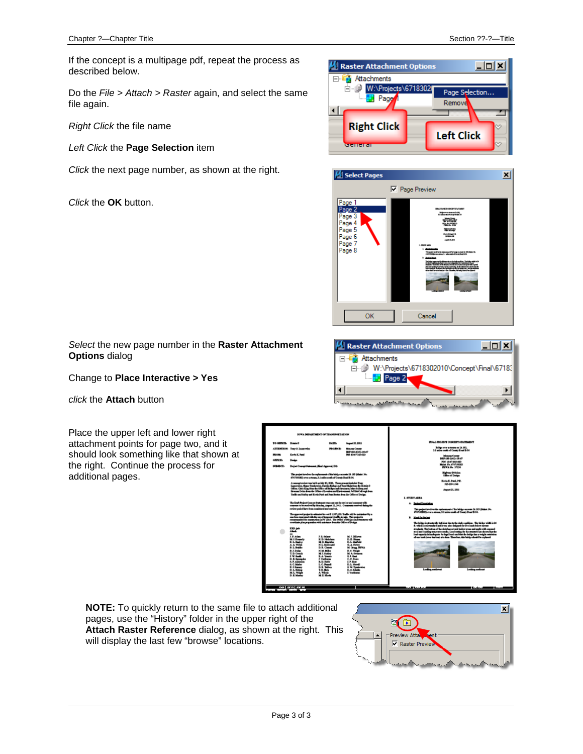If the concept is a multipage pdf, repeat the process as described below.

Do the *File > Attach > Raster* again, and select the same file again.

*Right Click* the file name

*Left Click* the **Page Selection** item

*Click* the next page number, as shown at the right.

*Click* the **OK** button.





*Select* the new page number in the **Raster Attachment Options** dialog

Change to **Place Interactive > Yes**

*click* the **Attach** button

Place the upper left and lower right attachment points for page two, and it should look something like that shown at the right. Continue the process for additional pages.





**NOTE:** To quickly return to the same file to attach additional pages, use the "History" folder in the upper right of the **Attach Raster Reference** dialog, as shown at the right. This will display the last few "browse" locations.